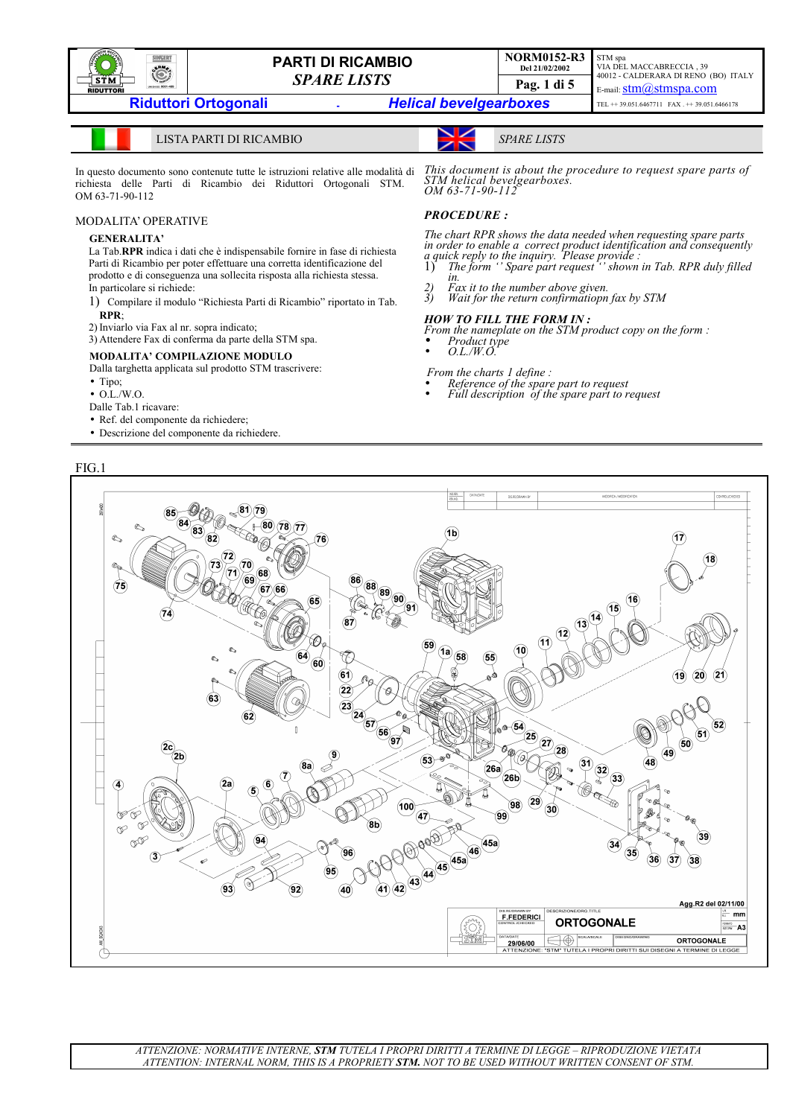

VIA DEL MACCABRECCIA , 39 40012 - CALDERARA DI RENO (BO) ITALY E-mail:  $stim@stmspa.com$ TEL ++ 39.051.6467711 FAX . ++ 39.051.6466178

LISTA PARTI DI RICAMBIO *SPARE LISTS*

*STM helical bevelgearboxes.* 

In questo documento sono contenute tutte le istruzioni relative alle modalità di richiesta delle Parti di Ricambio dei Riduttori Ortogonali STM. OM 63-71-90-112

#### MODALITA' OPERATIVE

### **GENERALITA'**

La Tab.**RPR** indica i dati che è indispensabile fornire in fase di richiesta Parti di Ricambio per poter effettuare una corretta identificazione del prodotto e di conseguenza una sollecita risposta alla richiesta stessa. In particolare si richiede:

- 1) Compilare il modulo "Richiesta Parti di Ricambio" riportato in Tab. **RPR**;
- 2) Inviarlo via Fax al nr. sopra indicato;

3) Attendere Fax di conferma da parte della STM spa.

### **MODALITA' COMPILAZIONE MODULO**

Dalla targhetta applicata sul prodotto STM trascrivere:

- Tipo;
- O.L./W.O.

Dalle Tab.1 ricavare:

- Ref. del componente da richiedere;
- Descrizione del componente da richiedere.

FIG.1

## *OM 63-71-90-112 PROCEDURE :*

*The chart RPR shows the data needed when requesting spare parts in order to enable a correct product identification and consequently a quick reply to the inquiry. Please provide :*  1) *The form '' Spare part request '' shown in Tab. RPR duly filled*

*This document is about the procedure to request spare parts of*

STM spa

- *in.*
- *2) Fax it to the number above given. 3) Wait for the return confirmatiopn fax by STM*

## *HOW TO FILL THE FORM IN :*

*From the nameplate on the STM product copy on the form :*  • *Product type*  • *O.L./W.O.*

 *From the charts 1 define :*

- *Reference of the spare part to request*
- *Full description of the spare part to request*

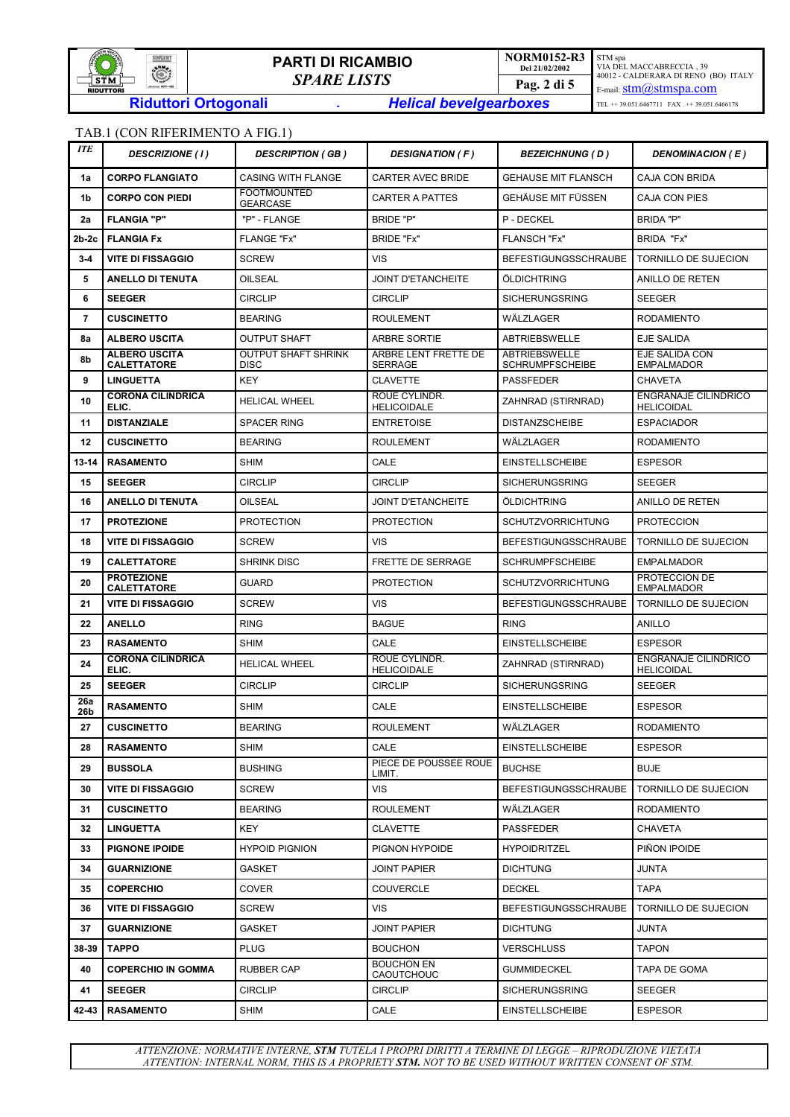

**NORM0152-R3 Del 21/02/2002**

STM spa VIA DEL MACCABRECCIA , 39 40012 - CALDERARA DI RENO (BO) ITALY E-mail:  $stim@stmspa.com$  $\text{TEL} \; \text{++}\; 39.051.6467711\quad \text{FAX}\; \text{.} \; \text{++}\; 39.051.6466178$ 

# TAB.1 (CON RIFERIMENTO A FIG.1)

| <b>ITE</b> | <b>DESCRIZIONE (1)</b>                     | <b>DESCRIPTION (GB)</b>                   | <b>DESIGNATION (F)</b>                 | <b>BEZEICHNUNG (D)</b>                         | <b>DENOMINACION (E)</b>                          |
|------------|--------------------------------------------|-------------------------------------------|----------------------------------------|------------------------------------------------|--------------------------------------------------|
| 1a         | <b>CORPO FLANGIATO</b>                     | <b>CASING WITH FLANGE</b>                 | <b>CARTER AVEC BRIDE</b>               | <b>GEHAUSE MIT FLANSCH</b>                     | <b>CAJA CON BRIDA</b>                            |
| 1b         | <b>CORPO CON PIEDI</b>                     | <b>FOOTMOUNTED</b><br><b>GEARCASE</b>     | <b>CARTER A PATTES</b>                 | GEHÄUSE MIT FÜSSEN                             | <b>CAJA CON PIES</b>                             |
| 2a         | <b>FLANGIA "P"</b>                         | "P" - FLANGE                              | <b>BRIDE "P"</b>                       | P - DECKEL                                     | <b>BRIDA "P"</b>                                 |
| $2b-2c$    | <b>FLANGIA Fx</b>                          | <b>FLANGE "Fx"</b>                        | BRIDE "Fx"                             | <b>FLANSCH "Fx"</b>                            | BRIDA "Fx"                                       |
| $3-4$      | <b>VITE DI FISSAGGIO</b>                   | <b>SCREW</b>                              | <b>VIS</b>                             | <b>BEFESTIGUNGSSCHRAUBE</b>                    | TORNILLO DE SUJECION                             |
| 5          | <b>ANELLO DI TENUTA</b>                    | OILSEAL                                   | <b>JOINT D'ETANCHEITE</b>              | ÖLDICHTRING                                    | ANILLO DE RETEN                                  |
| 6          | <b>SEEGER</b>                              | <b>CIRCLIP</b>                            | <b>CIRCLIP</b>                         | <b>SICHERUNGSRING</b>                          | <b>SEEGER</b>                                    |
| 7          | <b>CUSCINETTO</b>                          | <b>BEARING</b>                            | <b>ROULEMENT</b>                       | WÄLZLAGER                                      | <b>RODAMIENTO</b>                                |
| 8a         | <b>ALBERO USCITA</b>                       | <b>OUTPUT SHAFT</b>                       | <b>ARBRE SORTIE</b>                    | <b>ABTRIEBSWELLE</b>                           | EJE SALIDA                                       |
| 8b         | <b>ALBERO USCITA</b><br><b>CALETTATORE</b> | <b>OUTPUT SHAFT SHRINK</b><br><b>DISC</b> | ARBRE LENT FRETTE DE<br><b>SERRAGE</b> | <b>ABTRIEBSWELLE</b><br><b>SCHRUMPFSCHEIBE</b> | EJE SALIDA CON<br><b>EMPALMADOR</b>              |
| 9          | <b>LINGUETTA</b>                           | <b>KEY</b>                                | <b>CLAVETTE</b>                        | <b>PASSFEDER</b>                               | <b>CHAVETA</b>                                   |
| 10         | <b>CORONA CILINDRICA</b><br>ELIC.          | <b>HELICAL WHEEL</b>                      | ROUE CYLINDR.<br><b>HELICOIDALE</b>    | ZAHNRAD (STIRNRAD)                             | <b>ENGRANAJE CILINDRICO</b><br><b>HELICOIDAL</b> |
| 11         | <b>DISTANZIALE</b>                         | <b>SPACER RING</b>                        | <b>ENTRETOISE</b>                      | <b>DISTANZSCHEIBE</b>                          | <b>ESPACIADOR</b>                                |
| 12         | <b>CUSCINETTO</b>                          | <b>BEARING</b>                            | <b>ROULEMENT</b>                       | WÄLZLAGER                                      | <b>RODAMIENTO</b>                                |
| 13-14      | <b>RASAMENTO</b>                           | <b>SHIM</b>                               | CALE                                   | <b>EINSTELLSCHEIBE</b>                         | <b>ESPESOR</b>                                   |
| 15         | <b>SEEGER</b>                              | <b>CIRCLIP</b>                            | <b>CIRCLIP</b>                         | <b>SICHERUNGSRING</b>                          | <b>SEEGER</b>                                    |
| 16         | <b>ANELLO DI TENUTA</b>                    | OILSEAL                                   | <b>JOINT D'ETANCHEITE</b>              | ÖLDICHTRING                                    | <b>ANILLO DE RETEN</b>                           |
| 17         | <b>PROTEZIONE</b>                          | <b>PROTECTION</b>                         | <b>PROTECTION</b>                      | <b>SCHUTZVORRICHTUNG</b>                       | <b>PROTECCION</b>                                |
| 18         | <b>VITE DI FISSAGGIO</b>                   | <b>SCREW</b>                              | <b>VIS</b>                             | <b>BEFESTIGUNGSSCHRAUBE</b>                    | TORNILLO DE SUJECION                             |
| 19         | <b>CALETTATORE</b>                         | <b>SHRINK DISC</b>                        | <b>FRETTE DE SERRAGE</b>               | <b>SCHRUMPFSCHEIBE</b>                         | <b>EMPALMADOR</b>                                |
| 20         | <b>PROTEZIONE</b><br><b>CALETTATORE</b>    | <b>GUARD</b>                              | <b>PROTECTION</b>                      | <b>SCHUTZVORRICHTUNG</b>                       | PROTECCION DE<br><b>EMPALMADOR</b>               |
| 21         | <b>VITE DI FISSAGGIO</b>                   | <b>SCREW</b>                              | <b>VIS</b>                             | <b>BEFESTIGUNGSSCHRAUBE</b>                    | TORNILLO DE SUJECION                             |
| 22         | <b>ANELLO</b>                              | <b>RING</b>                               | <b>BAGUE</b>                           | <b>RING</b>                                    | <b>ANILLO</b>                                    |
| 23         | <b>RASAMENTO</b>                           | <b>SHIM</b>                               | CALE                                   | <b>EINSTELLSCHEIBE</b>                         | <b>ESPESOR</b>                                   |
| 24         | <b>CORONA CILINDRICA</b><br>ELIC.          | HELICAL WHEEL                             | ROUE CYLINDR.<br><b>HELICOIDALE</b>    | ZAHNRAD (STIRNRAD)                             | <b>ENGRANAJE CILINDRICO</b><br><b>HELICOIDAL</b> |
| 25         | <b>SEEGER</b>                              | <b>CIRCLIP</b>                            | <b>CIRCLIP</b>                         | <b>SICHERUNGSRING</b>                          | <b>SEEGER</b>                                    |
| 26a<br>26b | <b>RASAMENTO</b>                           | <b>SHIM</b>                               | CALE                                   | <b>EINSTELLSCHEIBE</b>                         | <b>ESPESOR</b>                                   |
| 27         | <b>CUSCINETTO</b>                          | <b>BEARING</b>                            | <b>ROULEMENT</b>                       | WÄLZLAGER                                      | <b>RODAMIENTO</b>                                |
| 28         | <b>RASAMENTO</b>                           | <b>SHIM</b>                               | CALE                                   | <b>EINSTELLSCHEIBE</b>                         | <b>ESPESOR</b>                                   |
| 29         | <b>BUSSOLA</b>                             | <b>BUSHING</b>                            | PIECE DE POUSSEE ROUE<br>LIMIT.        | <b>BUCHSE</b>                                  | <b>BUJE</b>                                      |
| 30         | <b>VITE DI FISSAGGIO</b>                   | <b>SCREW</b>                              | <b>VIS</b>                             | <b>BEFESTIGUNGSSCHRAUBE</b>                    | <b>TORNILLO DE SUJECION</b>                      |
| 31         | <b>CUSCINETTO</b>                          | <b>BEARING</b>                            | <b>ROULEMENT</b>                       | WÄLZLAGER                                      | <b>RODAMIENTO</b>                                |
| 32         | <b>LINGUETTA</b>                           | KEY                                       | <b>CLAVETTE</b>                        | PASSFEDER                                      | <b>CHAVETA</b>                                   |
| 33         | <b>PIGNONE IPOIDE</b>                      | <b>HYPOID PIGNION</b>                     | PIGNON HYPOIDE                         | <b>HYPOIDRITZEL</b>                            | PIÑON IPOIDE                                     |
| 34         | <b>GUARNIZIONE</b>                         | GASKET                                    | <b>JOINT PAPIER</b>                    | <b>DICHTUNG</b>                                | JUNTA                                            |
| 35         | <b>COPERCHIO</b>                           | <b>COVER</b>                              | <b>COUVERCLE</b>                       | <b>DECKEL</b>                                  | <b>TAPA</b>                                      |
| 36         | <b>VITE DI FISSAGGIO</b>                   | <b>SCREW</b>                              | VIS.                                   | <b>BEFESTIGUNGSSCHRAUBE</b>                    | TORNILLO DE SUJECION                             |
| 37         | <b>GUARNIZIONE</b>                         | <b>GASKET</b>                             | <b>JOINT PAPIER</b>                    | <b>DICHTUNG</b>                                | JUNTA                                            |
| 38-39      | <b>TAPPO</b>                               | <b>PLUG</b>                               | <b>BOUCHON</b>                         | <b>VERSCHLUSS</b>                              | <b>TAPON</b>                                     |
| 40         | <b>COPERCHIO IN GOMMA</b>                  | <b>RUBBER CAP</b>                         | <b>BOUCHON EN</b><br>CAOUTCHOUC        | <b>GUMMIDECKEL</b>                             | TAPA DE GOMA                                     |
| 41         | <b>SEEGER</b>                              | <b>CIRCLIP</b>                            | <b>CIRCLIP</b>                         | <b>SICHERUNGSRING</b>                          | <b>SEEGER</b>                                    |
| 42-43      | <b>RASAMENTO</b>                           | <b>SHIM</b>                               | CALE                                   | <b>EINSTELLSCHEIBE</b>                         | <b>ESPESOR</b>                                   |

*ATTENZIONE: NORMATIVE INTERNE, STM TUTELA I PROPRI DIRITTI A TERMINE DI LEGGE – RIPRODUZIONE VIETATA ATTENTION: INTERNAL NORM, THIS IS A PROPRIETY STM. NOT TO BE USED WITHOUT WRITTEN CONSENT OF STM.*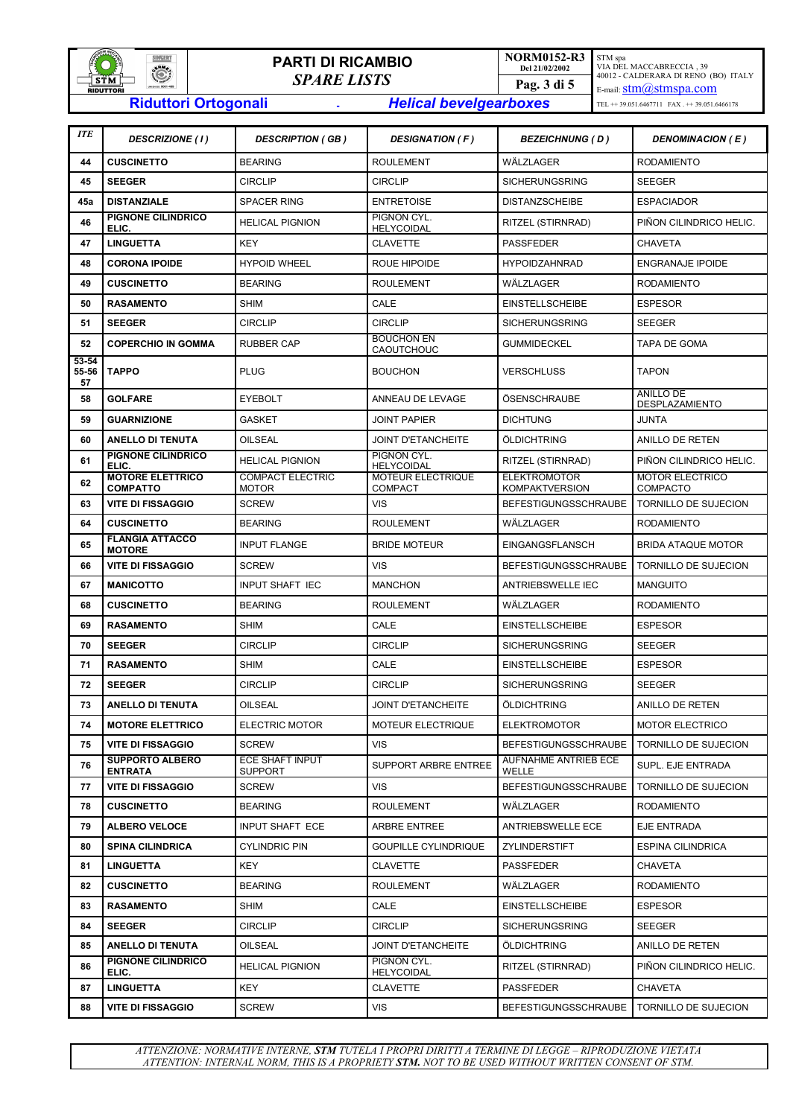

# **PARTI DI RICAMBIO** *SPARE LISTS* **Riduttori Ortogonali -** *Helical bevelgearboxes*

**NORM0152-R3** STM spa VIA DEL MACCABRECCIA , 39 40012 - CALDERARA DI RENO (BO) ITALY E-mail:  $stim@stmspa.com$  $\text{TEL} \dashrightarrow 39.051.6467711 \quad \text{FAX} \; + \dashrightarrow 39.051.6466178$ 

**Del 21/02/2002**

**Pag. 3 di 5**

| <b>ITE</b>           | <b>DESCRIZIONE (1)</b>                     | <b>DESCRIPTION (GB)</b>                 | <b>DESIGNATION (F)</b>              | <b>BEZEICHNUNG (D)</b>                       | DENOMINACION (E)                          |  |
|----------------------|--------------------------------------------|-----------------------------------------|-------------------------------------|----------------------------------------------|-------------------------------------------|--|
| 44                   | <b>CUSCINETTO</b>                          | <b>BEARING</b>                          | <b>ROULEMENT</b>                    | WÄLZLAGER                                    | <b>RODAMIENTO</b>                         |  |
| 45                   | <b>SEEGER</b>                              | <b>CIRCLIP</b>                          | <b>CIRCLIP</b>                      | <b>SICHERUNGSRING</b>                        | <b>SEEGER</b>                             |  |
| 45a                  | <b>DISTANZIALE</b>                         | <b>SPACER RING</b>                      | <b>ENTRETOISE</b>                   | <b>DISTANZSCHEIBE</b>                        | <b>ESPACIADOR</b>                         |  |
| 46                   | PIGNONE CILINDRICO<br>ELIC.                | <b>HELICAL PIGNION</b>                  | PIGNON CYL.<br><b>HELYCOIDAL</b>    | RITZEL (STIRNRAD)                            | PIÑON CILINDRICO HELIC.                   |  |
| 47                   | <b>LINGUETTA</b>                           | <b>KEY</b>                              | <b>CLAVETTE</b>                     | <b>PASSFEDER</b>                             | <b>CHAVETA</b>                            |  |
| 48                   | <b>CORONA IPOIDE</b>                       | <b>HYPOID WHEEL</b>                     | ROUE HIPOIDE                        | <b>HYPOIDZAHNRAD</b>                         | <b>ENGRANAJE IPOIDE</b>                   |  |
| 49                   | <b>CUSCINETTO</b>                          | <b>BEARING</b>                          | <b>ROULEMENT</b>                    | WÄLZLAGER                                    | <b>RODAMIENTO</b>                         |  |
| 50                   | <b>RASAMENTO</b>                           | <b>SHIM</b>                             | CALE                                | <b>EINSTELLSCHEIBE</b>                       | <b>ESPESOR</b>                            |  |
| 51                   | <b>SEEGER</b>                              | <b>CIRCLIP</b>                          | <b>CIRCLIP</b>                      | <b>SICHERUNGSRING</b>                        | <b>SEEGER</b>                             |  |
| 52                   | <b>COPERCHIO IN GOMMA</b>                  | <b>RUBBER CAP</b>                       | <b>BOUCHON EN</b><br>CAOUTCHOUC     | <b>GUMMIDECKEL</b>                           | TAPA DE GOMA                              |  |
| 53-54<br>55-56<br>57 | <b>TAPPO</b>                               | <b>PLUG</b>                             | <b>BOUCHON</b>                      | <b>VERSCHLUSS</b>                            | <b>TAPON</b>                              |  |
| 58                   | <b>GOLFARE</b>                             | <b>EYEBOLT</b>                          | ANNEAU DE LEVAGE                    | ÖSENSCHRAUBE                                 | ANILLO DE<br>DESPLAZAMIENTO               |  |
| 59                   | <b>GUARNIZIONE</b>                         | <b>GASKET</b>                           | <b>JOINT PAPIER</b>                 | <b>DICHTUNG</b>                              | <b>JUNTA</b>                              |  |
| 60                   | <b>ANELLO DI TENUTA</b>                    | <b>OILSEAL</b>                          | <b>JOINT D'ETANCHEITE</b>           | ÖLDICHTRING                                  | <b>ANILLO DE RETEN</b>                    |  |
| 61                   | <b>PIGNONE CILINDRICO</b><br>ELIC.         | <b>HELICAL PIGNION</b>                  | PIGNON CYL.<br><b>HELYCOIDAL</b>    | RITZEL (STIRNRAD)                            | PIÑON CILINDRICO HELIC.                   |  |
| 62                   | <b>MOTORE ELETTRICO</b><br><b>COMPATTO</b> | <b>COMPACT ELECTRIC</b><br><b>MOTOR</b> | MOTEUR ELECTRIQUE<br><b>COMPACT</b> | <b>ELEKTROMOTOR</b><br><b>KOMPAKTVERSION</b> | <b>MOTOR ELECTRICO</b><br><b>COMPACTO</b> |  |
| 63                   | <b>VITE DI FISSAGGIO</b>                   | <b>SCREW</b>                            | <b>VIS</b>                          | <b>BEFESTIGUNGSSCHRAUBE</b>                  | <b>TORNILLO DE SUJECION</b>               |  |
| 64                   | <b>CUSCINETTO</b>                          | <b>BEARING</b>                          | <b>ROULEMENT</b>                    | WÄLZLAGER                                    | <b>RODAMIENTO</b>                         |  |
| 65                   | <b>FLANGIA ATTACCO</b><br><b>MOTORE</b>    | <b>INPUT FLANGE</b>                     | <b>BRIDE MOTEUR</b>                 | EINGANGSFLANSCH                              | BRIDA ATAQUE MOTOR                        |  |
| 66                   | <b>VITE DI FISSAGGIO</b>                   | <b>SCREW</b>                            | <b>VIS</b>                          | <b>BEFESTIGUNGSSCHRAUBE</b>                  | TORNILLO DE SUJECION                      |  |
| 67                   | <b>MANICOTTO</b>                           | <b>INPUT SHAFT IEC</b>                  | <b>MANCHON</b>                      | <b>ANTRIEBSWELLE IEC</b>                     | <b>MANGUITO</b>                           |  |
| 68                   | <b>CUSCINETTO</b>                          | <b>BEARING</b>                          | <b>ROULEMENT</b>                    | WÄLZLAGER                                    | <b>RODAMIENTO</b>                         |  |
| 69                   | <b>RASAMENTO</b>                           | <b>SHIM</b>                             | CALE                                | <b>EINSTELLSCHEIBE</b>                       | <b>ESPESOR</b>                            |  |
| 70                   | <b>SEEGER</b>                              | <b>CIRCLIP</b>                          | <b>CIRCLIP</b>                      | <b>SICHERUNGSRING</b>                        | <b>SEEGER</b>                             |  |
| 71                   | <b>RASAMENTO</b>                           | <b>SHIM</b>                             | CALE                                | <b>EINSTELLSCHEIBE</b>                       | <b>ESPESOR</b>                            |  |
| 72                   | <b>SEEGER</b>                              | <b>CIRCLIP</b>                          | <b>CIRCLIP</b>                      | <b>SICHERUNGSRING</b>                        | <b>SEEGER</b>                             |  |
| 73                   | <b>ANELLO DI TENUTA</b>                    | <b>OILSEAL</b>                          | <b>JOINT D'ETANCHEITE</b>           | ÖLDICHTRING                                  | ANILLO DE RETEN                           |  |
| 74                   | <b>MOTORE ELETTRICO</b>                    | <b>ELECTRIC MOTOR</b>                   | MOTEUR ELECTRIQUE                   | <b>ELEKTROMOTOR</b>                          | MOTOR ELECTRICO                           |  |
| 75                   | <b>VITE DI FISSAGGIO</b>                   | <b>SCREW</b>                            | <b>VIS</b>                          | <b>BEFESTIGUNGSSCHRAUBE</b>                  | TORNILLO DE SUJECION                      |  |
| 76                   | <b>SUPPORTO ALBERO</b><br><b>ENTRATA</b>   | ECE SHAFT INPUT<br><b>SUPPORT</b>       | SUPPORT ARBRE ENTREE                | AUFNAHME ANTRIEB ECE<br>WELLE                | SUPL. EJE ENTRADA                         |  |
| 77                   | <b>VITE DI FISSAGGIO</b>                   | <b>SCREW</b>                            | <b>VIS</b>                          | <b>BEFESTIGUNGSSCHRAUBE</b>                  | TORNILLO DE SUJECION                      |  |
| 78                   | <b>CUSCINETTO</b>                          | <b>BEARING</b>                          | <b>ROULEMENT</b>                    | WÄLZLAGER                                    | <b>RODAMIENTO</b>                         |  |
| 79                   | <b>ALBERO VELOCE</b>                       | <b>INPUT SHAFT ECE</b>                  | <b>ARBRE ENTREE</b>                 | <b>ANTRIEBSWELLE ECE</b>                     | EJE ENTRADA                               |  |
| 80                   | <b>SPINA CILINDRICA</b>                    | <b>CYLINDRIC PIN</b>                    | <b>GOUPILLE CYLINDRIQUE</b>         | ZYLINDERSTIFT                                | ESPINA CILINDRICA                         |  |
| 81                   | <b>LINGUETTA</b>                           | <b>KEY</b>                              | <b>CLAVETTE</b>                     | <b>PASSFEDER</b>                             | <b>CHAVETA</b>                            |  |
| 82                   | <b>CUSCINETTO</b>                          | <b>BEARING</b>                          | <b>ROULEMENT</b>                    | WÄLZLAGER                                    | <b>RODAMIENTO</b>                         |  |
| 83                   | <b>RASAMENTO</b>                           | SHIM                                    | CALE                                | <b>EINSTELLSCHEIBE</b>                       | <b>ESPESOR</b>                            |  |
| 84                   | <b>SEEGER</b>                              | <b>CIRCLIP</b>                          | <b>CIRCLIP</b>                      | <b>SICHERUNGSRING</b>                        | SEEGER                                    |  |
| 85                   | <b>ANELLO DI TENUTA</b>                    | OILSEAL                                 | <b>JOINT D'ETANCHEITE</b>           | ÖLDICHTRING                                  | ANILLO DE RETEN                           |  |
| 86                   | <b>PIGNONE CILINDRICO</b><br>ELIC.         | <b>HELICAL PIGNION</b>                  | PIGNON CYL.<br>HELYCOIDAL           | RITZEL (STIRNRAD)                            | PIÑON CILINDRICO HELIC.                   |  |
| 87                   | <b>LINGUETTA</b>                           | <b>KEY</b>                              | <b>CLAVETTE</b>                     | PASSFEDER                                    | CHAVETA                                   |  |
| 88                   | <b>VITE DI FISSAGGIO</b>                   | <b>SCREW</b>                            | VIS                                 | <b>BEFESTIGUNGSSCHRAUBE</b>                  | TORNILLO DE SUJECION                      |  |

*ATTENZIONE: NORMATIVE INTERNE, STM TUTELA I PROPRI DIRITTI A TERMINE DI LEGGE – RIPRODUZIONE VIETATA ATTENTION: INTERNAL NORM, THIS IS A PROPRIETY STM. NOT TO BE USED WITHOUT WRITTEN CONSENT OF STM.*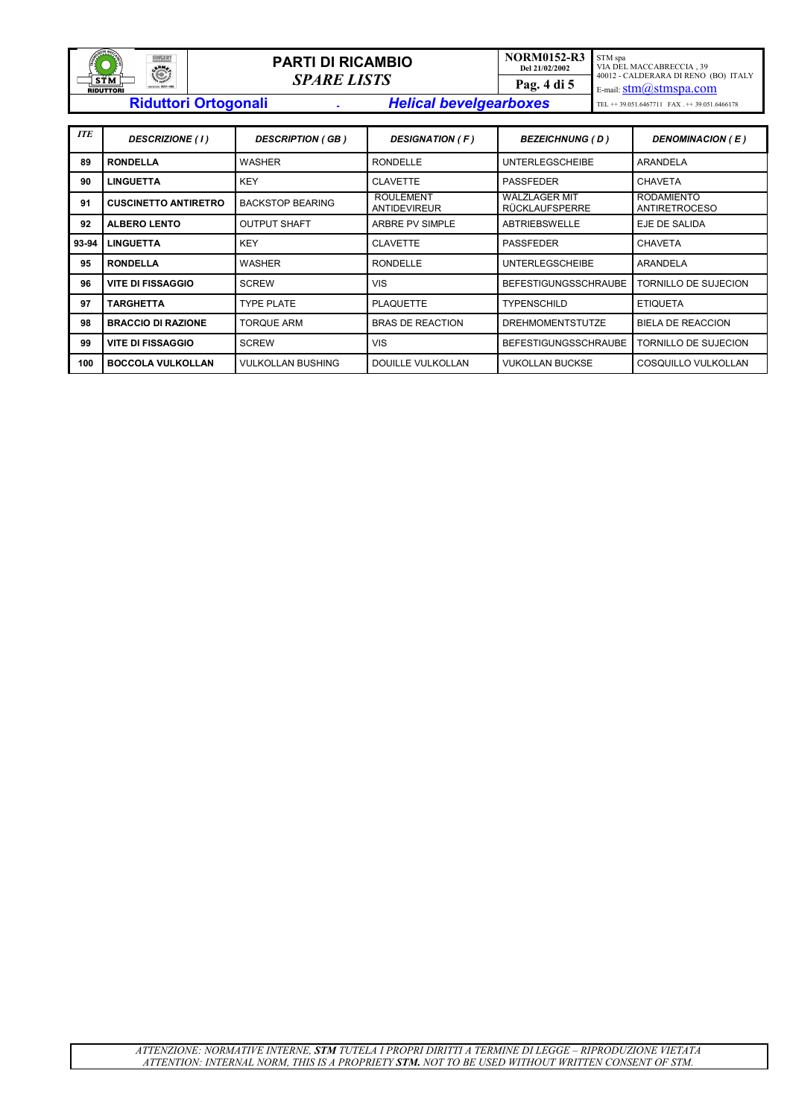| <b>SALARA MECCANI</b><br><b>SINGERT</b><br><b>AND</b><br><b>CAMP</b> | <b>PARTI DI RICAMBIO</b><br><b>SPARE LISTS</b> |  | <b>NORM0152-R3</b><br>Del 21/02/2002 | STM spa<br>VIA DEL MACCABRECCIA . 39<br>40012 - CALDERARA DI RENO (BO) ITALY |                                                                           |
|----------------------------------------------------------------------|------------------------------------------------|--|--------------------------------------|------------------------------------------------------------------------------|---------------------------------------------------------------------------|
| STM<br>ue (viso 5001-489)<br><b>RIDUTTORI</b>                        |                                                |  | Pag. 4 di 5                          | E-mail: $\text{stm}(a)$ stmspa.com                                           |                                                                           |
|                                                                      | <b>Riduttori Ortogonali</b>                    |  | <b>Helical bevelgearboxes</b>        |                                                                              | TEL $\leftrightarrow$ 39.051.6467711 FAX $\leftrightarrow$ 39.051.6466178 |

| <b>ITE</b> | <b>DESCRIZIONE</b> (1)      | <b>DESCRIPTION (GB)</b><br><b>DESIGNATION (F)</b><br><b>BEZEICHNUNG (D)</b> |                                         | DENOMINACION (E)                       |                                           |
|------------|-----------------------------|-----------------------------------------------------------------------------|-----------------------------------------|----------------------------------------|-------------------------------------------|
| 89         | <b>RONDELLA</b>             | <b>WASHER</b>                                                               | <b>RONDELLE</b>                         | <b>UNTERLEGSCHEIBE</b>                 | ARANDELA                                  |
| 90         | <b>LINGUETTA</b>            | <b>KEY</b>                                                                  | <b>CLAVETTE</b>                         | <b>PASSFEDER</b>                       | <b>CHAVETA</b>                            |
| 91         | <b>CUSCINETTO ANTIRETRO</b> | <b>BACKSTOP BEARING</b>                                                     | <b>ROULEMENT</b><br><b>ANTIDEVIREUR</b> | WÄLZLAGER MIT<br><b>RÜCKLAUFSPERRE</b> | <b>RODAMIENTO</b><br><b>ANTIRETROCESO</b> |
| 92         | <b>ALBERO LENTO</b>         | <b>OUTPUT SHAFT</b>                                                         | ARBRE PV SIMPLE                         | ABTRIEBSWELLE                          | EJE DE SALIDA                             |
| 93-94      | <b>LINGUETTA</b>            | <b>KEY</b>                                                                  | <b>CLAVETTE</b>                         | <b>PASSFEDER</b>                       | <b>CHAVETA</b>                            |
| 95         | <b>RONDELLA</b>             | <b>WASHER</b>                                                               | <b>RONDELLE</b>                         | <b>UNTERLEGSCHEIBE</b>                 | ARANDELA                                  |
| 96         | <b>VITE DI FISSAGGIO</b>    | <b>SCREW</b>                                                                | <b>VIS</b>                              | <b>BEFESTIGUNGSSCHRAUBE</b>            | TORNILLO DE SUJECION                      |
| 97         | TARGHETTA                   | <b>TYPE PLATE</b>                                                           | <b>PLAQUETTE</b>                        | <b>TYPENSCHILD</b>                     | <b>ETIQUETA</b>                           |
| 98         | <b>BRACCIO DI RAZIONE</b>   | <b>TORQUE ARM</b>                                                           | <b>BRAS DE REACTION</b>                 | <b>DREHMOMENTSTUTZE</b>                | <b>BIELA DE REACCION</b>                  |
| 99         | <b>VITE DI FISSAGGIO</b>    | <b>SCREW</b>                                                                | <b>VIS</b>                              | <b>BEFESTIGUNGSSCHRAUBE</b>            | TORNILLO DE SUJECION                      |
| 100        | <b>BOCCOLA VULKOLLAN</b>    | <b>VULKOLLAN BUSHING</b>                                                    | DOUILLE VULKOLLAN                       | <b>VUKOLLAN BUCKSE</b>                 | COSQUILLO VULKOLLAN                       |